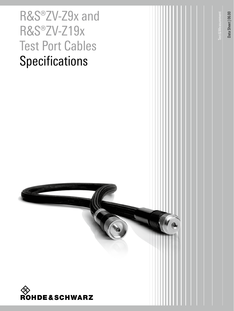# R&S®ZV-Z9x and R&S®ZV -Z19x Test Port Cables **Specifications**



Test&Measurement

**Test & Measurement** 

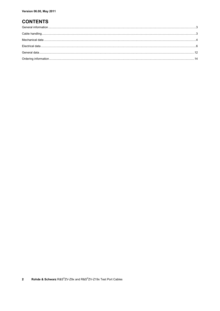### **CONTENTS**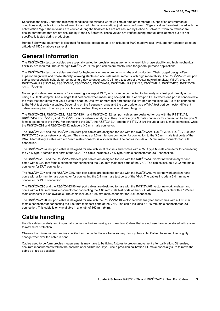Specifications apply under the following conditions: 60 minutes warm-up time at ambient temperature, specified environmental conditions met, calibration cycle adhered to, and all internal automatic adjustments performed. "Typical values" are designated with the abbreviation "typ." These values are verified during the final test but are not assured by Rohde & Schwarz. "Nominal values" are design parameters that are not assured by Rohde & Schwarz. These values are verified during product development but are not specifically tested during production.

Rohde & Schwarz equipment is designed for reliable operation up to an altitude of 3000 m above sea level, and for transport up to an altitude of 4500 m above sea level.

### **General information**

The R&S® ZV-Z9x test port cables are especially suited for precision measurements where high phase stability and high mechanical flexibility are required. The semi-rigid R&S®ZV-Z19x test port cables are mostly used for general-purpose applications.

The R&S® ZV-Z9x test port cables are ideal for high-precision measurements in labs and production. Their rugged design offers superior magnitude and phase stability, allowing stable and accurate measurements with high repeatability. The R&S®ZV-Z9x test port cables are especially suitable for connecting a device under test (DUT) to a test port of a vector network analyzer (VNA), e.g. the  ${\sf RAS}^{\otimes}$ ZVA24, R&S $^{\otimes}$ ZVA40, R&S®ZVA50, R&S®ZVA67, R&S®ZVB4, R&S®ZVB8, R&S®ZVB14, R&S®ZVB20, R&S®ZVT8, or R&S® ZVT20.

No test port cables are necessary for measuring a one-port DUT, which can be connected to the analyzer's test port directly or by using a suitable adapter. Use a single test port cable when measuring one-port DUTs or two-port DUTs where one port is connected to the VNA test port directly or via a suitable adapter. Use two or more test port cables if a two-port or multiport DUT is to be connected to the VNA test ports via cables. Depending on the frequency range and the appropriate type of VNA test port connector, different cables are required. The test port cables are flexible. They are available in different lengths.

The R&S®ZV-Z91, R&S®ZV-Z92, R&S®ZV-Z191, and R&S®ZV-Z192 test port cables are designed for use with the R&S®ZVA8, R&S®ZVB4, R&S®ZVB8, and R&S®ZVT8 vector network analyzers. They include a type N male connector for connection to the type N female test ports of the VNA. For connecting the DUT, the R&S<sup>®</sup>ZV-Z91 and the R&S<sup>®</sup>ZV-Z191 include a type N male connector, while the R&S<sup>®</sup>ZV-Z92 and R&S<sup>®</sup>ZV-Z192 include a 3.5 mm male connector.

The R&S®ZV-Z93 and the R&S®ZV-Z193 test port cables are designed for use with the R&S®ZVA24, R&S®ZVB14, R&S®ZVB20, and R&S<sup>®</sup>ZVT20 vector network analyzers. They include a 3.5 mm female connector for connection to the 3.5 mm male test ports of the VNA. Alternatively a cable with a 3.5 mm male connector is also available. The cables include a 3.5 mm male connector for DUT connection.

The R&S®ZV-Z194 test port cable is designed for use with 75  $\Omega$  test sets and comes with a 75  $\Omega$  type N male connector for connecting the 75  $\Omega$  type N female test ports of the VNA. The cable includes a 75  $\Omega$  type N male connector for DUT connection.

The R&S®ZV-Z95 and the R&S®ZV-Z195 test port cables are designed for use with the R&S®ZVA40 vector network analyzer and come with a 2.92 mm female connector for connecting the 2.92 mm male test ports of the VNA. The cables include a 2.92 mm male connector for DUT connection.

The R&S®ZV-Z97 and the R&S®ZV-Z197 test port cables are designed for use with the R&S®ZVA50 vector network analyzer and come with a 2.4 mm female connector for connecting the 2.4 mm male test ports of the VNA. The cables include a 2.4 mm male connector for DUT connection.

The R&S®ZV-Z96 and the R&S®ZV-Z196 test port cables are designed for use with the R&S®ZVA67 vector network analyzer and come with a 1.85 mm female connector for connecting the 1.85 mm male test ports of the VNA. Alternatively a cable with a 1.85 mm male connector is also available. The cable include a 1.85 mm male connector for DUT connection.

The R&S®ZV-Z198 test port cable is designed for use with the R&S®ZVA110 vector network analyzer and comes with a 1.00 mm female connector for connecting the 1.00 mm male test ports of the VNA. The cable includes a 1.85 mm male connector for DUT connection. This cable is only available in a length of 160 mm (6 in).

### **Cable handling**

Handle cables carefully and inspect all connectors before making a connection. Cables that are not used are to be stored with a view to maximum protection.

Observe the minimum bend radius specified for the cable. Failure to do so may destroy the cable. Cable phase and loss slightly change whenever the cable is bent.

Cables used to perform precise measurements may have to be fit into fixtures to prevent movement after calibration. Otherwise, accurate measurements will not be possible after calibration. If you use a precision calibration kit, make especially sure to move the cable as little as possible.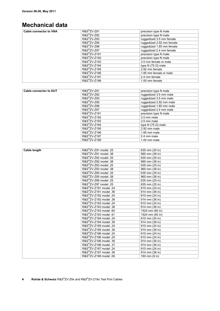## **Mechanical data**

| Cable connector to VNA | R&S <sup>®</sup> ZV-Z91  | precision type N male      |
|------------------------|--------------------------|----------------------------|
|                        | R&S <sup>®</sup> ZV-Z92  | precision type N male      |
|                        | R&S <sup>®</sup> ZV-Z93  | ruggedized 3.5 mm female   |
|                        | $RAS^{\circ}ZV-Z95$      | ruggedized 2.92 mm female  |
|                        | R&S <sup>®</sup> ZV-Z96  | ruggedized 1.85 mm female  |
|                        | R&S <sup>®</sup> ZV-Z97  | ruggedized 2.4 mm female   |
|                        | R&S <sup>®</sup> ZV-Z191 | precision type N male      |
|                        | R&S <sup>®</sup> ZV-Z192 | precision type N male      |
|                        | R&S <sup>®</sup> ZV-Z193 | 3.5 mm female or male      |
|                        | R&S <sup>®</sup> ZV-Z194 | type N (75 $\Omega$ ) male |
|                        | R&S <sup>®</sup> ZV-Z195 | 2.92 mm female             |
|                        | R&S <sup>®</sup> ZV-Z196 | 1.85 mm female or male     |
|                        | R&S <sup>®</sup> ZV-Z197 | 2.4 mm female              |
|                        | R&S <sup>®</sup> ZV-Z198 | 1.00 mm female             |

| Cable connector to DUT | R&S <sup>®</sup> ZV-Z91  | precision type N male      |
|------------------------|--------------------------|----------------------------|
|                        | R&S <sup>®</sup> ZV-Z92  | ruggedized 3.5 mm male     |
|                        | R&S <sup>®</sup> ZV-Z93  | ruggedized 3.5 mm male     |
|                        | $R\&S^{\otimes}ZV-Z95$   | ruggedized 2.92 mm male    |
|                        | $RAS^{\circ}ZV-Z96$      | ruggedized 1.85 mm male    |
|                        | R&S <sup>®</sup> ZV-Z97  | ruggedized 2.4 mm male     |
|                        | R&S <sup>®</sup> ZV-Z191 | precision type N male      |
|                        | R&S <sup>®</sup> ZV-Z192 | 3.5 mm male                |
|                        | R&S <sup>®</sup> ZV-Z193 | 3.5 mm male                |
|                        | R&S <sup>®</sup> ZV-Z194 | type N (75 $\Omega$ ) male |
|                        | R&S <sup>®</sup> ZV-Z195 | 2.92 mm male               |
|                        | R&S <sup>®</sup> ZV-Z196 | 1.85 mm male               |
|                        | R&S <sup>®</sup> ZV-Z197 | 2.4 mm male                |
|                        | R&S <sup>®</sup> ZV-Z198 | $1.00$ mm male             |

| <b>Cable length</b> | R&S®ZV-Z91 model .25               | 635 mm (25 in)  |
|---------------------|------------------------------------|-----------------|
|                     | R&S <sup>®</sup> ZV-Z91 model .38  | 965 mm (38 in)  |
|                     | R&S <sup>®</sup> ZV-Z92 model .25  | 635 mm (25 in)  |
|                     | R&S®ZV-Z92 model .38               | 965 mm (38 in)  |
|                     | R&S <sup>®</sup> ZV-Z93 model .25  | 635 mm (25 in)  |
|                     | R&S <sup>®</sup> ZV-Z93 model .38  | 965 mm (38 in)  |
|                     | R&S®ZV-Z95 model .25               | 635 mm (25 in)  |
|                     | R&S <sup>®</sup> ZV-Z95 model .38  | 965 mm (38 in)  |
|                     | R&S <sup>®</sup> ZV-Z96 model .25  | 635 mm (25 in)  |
|                     | R&S®ZV-Z97 model .25               | 635 mm (25 in)  |
|                     | R&S <sup>®</sup> ZV-Z191 model .24 | 610 mm (24 in)  |
|                     | R&S <sup>®</sup> ZV-Z191 model .36 | 914 mm (36 in)  |
|                     | R&S <sup>®</sup> ZV-Z192 model .24 | 610 mm (24 in)  |
|                     | R&S <sup>®</sup> ZV-Z192 model .36 | 914 mm (36 in)  |
|                     | R&S <sup>®</sup> ZV-Z193 model .24 | 610 mm (24 in)  |
|                     | R&S <sup>®</sup> ZV-Z193 model .36 | 914 mm (36 in)  |
|                     | R&S <sup>®</sup> ZV-Z193 model .60 | 1524 mm (60 in) |
|                     | R&S <sup>®</sup> ZV-Z193 model .61 | 1524 mm (60 in) |
|                     | R&S <sup>®</sup> ZV-Z194 model .24 | 610 mm (24 in)  |
|                     | R&S <sup>®</sup> ZV-Z194 model .36 | 914 mm (36 in)  |
|                     | R&S <sup>®</sup> ZV-Z195 model .24 | 610 mm (24 in)  |
|                     | R&S <sup>®</sup> ZV-Z195 model .36 | 914 mm (36 in)  |
|                     | R&S <sup>®</sup> ZV-Z196 model .24 | 610 mm (24 in)  |
|                     | R&S <sup>®</sup> ZV-Z196 model .25 | 610 mm (24 in)  |
|                     | R&S <sup>®</sup> ZV-Z196 model .36 | 914 mm (36 in)  |
|                     | R&S <sup>®</sup> ZV-Z196 model .37 | 914 mm (36 in)  |
|                     | R&S <sup>®</sup> ZV-Z197 model .24 | 610 mm (24 in)  |
|                     | R&S <sup>®</sup> ZV-Z197 model .36 | 914 mm (36 in)  |
|                     | R&S <sup>®</sup> ZV-Z198 model .06 | 160 mm (6 in)   |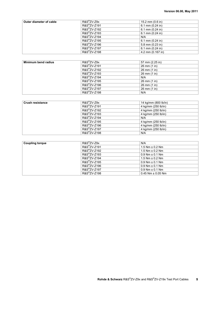| Outer diameter of cable | $R\&S^{\otimes}ZV-Z9x$   | 15.2 mm $(0.6 \text{ in})$ |
|-------------------------|--------------------------|----------------------------|
|                         | R&S <sup>®</sup> ZV-Z191 | 6.1 mm $(0.24$ in)         |
|                         | R&S <sup>®</sup> ZV-Z192 | 6.1 mm $(0.24$ in)         |
|                         | R&S <sup>®</sup> ZV-Z193 | 6.1 mm $(0.24$ in)         |
|                         | R&S <sup>®</sup> ZV-Z194 | N/A                        |
|                         | R&S <sup>®</sup> ZV-Z195 | 6.1 mm $(0.24$ in)         |
|                         | R&S <sup>®</sup> ZV-Z196 | 5.8 mm (0.23 in)           |
|                         | R&S <sup>®</sup> ZV-Z197 | 6.1 mm $(0.24$ in)         |
|                         | R&S <sup>®</sup> ZV-Z198 | 4.2 mm (0.167 in)          |

| Minimum bend radius | $R\&S^{\otimes}ZV-Z9x$   | 57 mm (2.25 in) |
|---------------------|--------------------------|-----------------|
|                     | R&S <sup>®</sup> ZV-Z191 | 26 mm (1 in)    |
|                     | R&S <sup>®</sup> ZV-Z192 | 26 mm (1 in)    |
|                     | R&S <sup>®</sup> ZV-Z193 | 26 mm (1 in)    |
|                     | R&S <sup>®</sup> ZV-Z194 | N/A             |
|                     | R&S <sup>®</sup> ZV-Z195 | 26 mm (1 in)    |
|                     | R&S <sup>®</sup> ZV-Z196 | 26 mm (1 in)    |
|                     | R&S <sup>®</sup> ZV-Z197 | 26 mm (1 in)    |
|                     | R&S <sup>®</sup> ZV-Z198 | N/A             |

| <b>Crush resistance</b> | $R\&S^{\otimes}ZV-Z9x$   | 14 kg/mm (800 lb/in) |
|-------------------------|--------------------------|----------------------|
|                         | R&S <sup>®</sup> ZV-Z191 | 4 kg/mm (250 lb/in)  |
|                         | R&S <sup>®</sup> ZV-Z192 | 4 kg/mm (250 lb/in)  |
|                         | R&S <sup>®</sup> ZV-Z193 | 4 kg/mm (250 lb/in)  |
|                         | R&S <sup>®</sup> ZV-Z194 | N/A                  |
|                         | R&S <sup>®</sup> ZV-Z195 | 4 kg/mm (250 lb/in)  |
|                         | R&S <sup>®</sup> ZV-Z196 | 4 kg/mm (250 lb/in)  |
|                         | R&S <sup>®</sup> ZV-Z197 | 4 kg/mm (250 lb/in)  |
|                         | R&S <sup>®</sup> ZV-Z198 | N/A                  |

| <b>Coupling torque</b> | $R\&S^{\otimes}ZV-Z9x$   | N/A                     |
|------------------------|--------------------------|-------------------------|
|                        | R&S <sup>®</sup> ZV-Z191 | $1.5$ Nm $\pm$ 0.2 Nm   |
|                        | R&S <sup>®</sup> ZV-Z192 | $1.5$ Nm $\pm$ 0.2 Nm   |
|                        | R&S <sup>®</sup> ZV-Z193 | $0.9$ Nm $\pm$ 0.1 Nm   |
|                        | R&S <sup>®</sup> ZV-Z194 | $1.5$ Nm $\pm$ 0.2 Nm   |
|                        | R&S <sup>®</sup> ZV-Z195 | $0.9$ Nm $\pm$ 0.1 Nm   |
|                        | R&S <sup>®</sup> ZV-Z196 | $0.9$ Nm $\pm$ 0.1 Nm   |
|                        | R&S <sup>®</sup> ZV-Z197 | $0.9$ Nm $\pm$ 0.1 Nm   |
|                        | R&S <sup>®</sup> ZV-Z198 | $0.45$ Nm $\pm$ 0.05 Nm |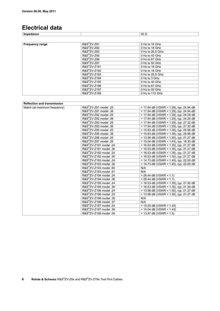### **Electrical data**

**Impedance** 50 Ω

| <b>Frequency range</b> | $RAS^{\otimes}ZV-Z91$    | 0 Hz to 18 GHz   |
|------------------------|--------------------------|------------------|
|                        | $R\&S^{\otimes}ZV-Z92$   | 0 Hz to 18 GHz   |
|                        | $R\&S^{\otimes}ZV-Z93$   | 0 Hz to 26.5 GHz |
|                        | $RAS^{\otimes}ZV-Z95$    | 0 Hz to 40 GHz   |
|                        | $R\&S^{\otimes}ZV-Z96$   | 0 Hz to 67 GHz   |
|                        | $RAS^{\otimes}ZV-Z97$    | $0$ Hz to 50 GHz |
|                        | R&S <sup>®</sup> ZV-Z191 | 0 Hz to 18 GHz   |
|                        | R&S <sup>®</sup> ZV-Z192 | 0 Hz to 18 GHz   |
|                        | R&S <sup>®</sup> ZV-Z193 | 0 Hz to 26.5 GHz |
|                        | R&S <sup>®</sup> ZV-Z194 | 0 Hz to 3 GHz    |
|                        | R&S <sup>®</sup> ZV-Z195 | 0 Hz to 40 GHz   |
|                        | R&S <sup>®</sup> ZV-Z196 | 0 Hz to 67 GHz   |
|                        | R&S <sup>®</sup> ZV-Z197 | $0$ Hz to 50 GHz |
|                        | R&S <sup>®</sup> ZV-Z198 | 0 Hz to 110 GHz  |

| <b>Reflection and transmission</b> |                                    |                                         |
|------------------------------------|------------------------------------|-----------------------------------------|
| Match (at maximum frequency)       | R&S <sup>®</sup> ZV-Z91 model .25  | > 17.94 dB (VSWR < 1.29), typ. 24.94 dB |
|                                    | R&S <sup>®</sup> ZV-Z91 model .38  | > 17.94 dB (VSWR < 1.29), typ. 24.94 dB |
|                                    | R&S <sup>®</sup> ZV-Z92 model .25  | > 17.94 dB (VSWR < 1.29), typ. 24.29 dB |
|                                    | R&S <sup>®</sup> ZV-Z92 model .38  | > 17.94 dB (VSWR < 1.29), typ. 24.29 dB |
|                                    | R&S <sup>®</sup> ZV-Z93 model .25  | > 17.94 dB (VSWR < 1.29), typ. 27.32 dB |
|                                    | R&S <sup>®</sup> ZV-Z93 model .38  | > 17.94 dB (VSWR < 1.29), typ. 27.32 dB |
|                                    | R&S <sup>®</sup> ZV-Z95 model .25  | > 15.93 dB (VSWR < 1.38), typ. 25.96 dB |
|                                    | R&S <sup>®</sup> ZV-Z95 model 38   | > 15.93 dB (VSWR < 1.38), typ. 25.96 dB |
|                                    | R&S <sup>®</sup> ZV-Z96 model .25  | > 13.98 dB (VSWR < 1.50), typ. 21.27 dB |
|                                    | R&S <sup>®</sup> ZV-Z97 model .25  | > 15.04 dB (VSWR < 1.43), typ. 18.30 dB |
|                                    | R&S <sup>®</sup> ZV-Z191 model .24 | > 16.53 dB (VSWR < 1.35), typ. 21.27 dB |
|                                    | R&S <sup>®</sup> ZV-Z191 model .36 | > 16.53 dB (VSWR < 1.35), typ. 21.27 dB |
|                                    | R&S <sup>®</sup> ZV-Z192 model .24 | > 16.53 dB (VSWR < 1.35), typ. 21.27 dB |
|                                    | R&S®ZV-Z192 model .36              | > 16.53 dB (VSWR < 1.35), typ. 21.27 dB |
|                                    | R&S <sup>®</sup> ZV-Z193 model .24 | > 14.73 dB (VSWR < 1.45), typ. 22.00 dB |
|                                    | R&S <sup>®</sup> ZV-Z193 model .36 | > 14.73 dB (VSWR < 1.45), typ. 22.00 dB |
|                                    | R&S <sup>®</sup> ZV-Z193 model .60 | N/A                                     |
|                                    | R&S <sup>®</sup> ZV-Z193 model .61 | N/A                                     |
|                                    | R&S <sup>®</sup> ZV-Z194 model .24 | $>$ 26.44 dB (VSWR < 1.1)               |
|                                    | R&S <sup>®</sup> ZV-Z194 model .36 | $>$ 26.44 dB (VSWR < 1.1)               |
|                                    | R&S <sup>®</sup> ZV-Z195 model .24 | > 16.53 dB (VSWR < 1.35), typ. 21.50 dB |
|                                    | R&S <sup>®</sup> ZV-Z195 model .36 | > 16.53 dB (VSWR < 1.35), typ. 21.50 dB |
|                                    | R&S <sup>®</sup> ZV-Z196 model .24 | > 13.98 dB (VSWR < 1.50), typ. 21.27 dB |
|                                    | R&S <sup>®</sup> ZV-Z196 model .25 | > 13.98 dB (VSWR < 1.50), typ. 21.27 dB |
|                                    | R&S <sup>®</sup> ZV-Z196 model .36 | N/A                                     |
|                                    | R&S®ZV-Z196 model .37              | N/A                                     |
|                                    | R&S <sup>®</sup> ZV-Z197 model .24 | $>$ 15.04 dB (VSWR < 1.43)              |
|                                    | R&S <sup>®</sup> ZV-Z197 model .36 | $>$ 15.04 dB (VSWR < 1.43)              |
|                                    | R&S <sup>®</sup> ZV-Z198 model .06 | $>$ 13.97 dB (VSWR < 1.5)               |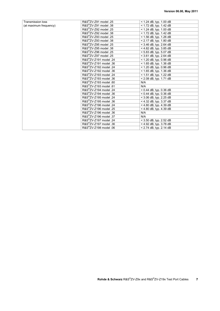| <b>Transmission loss</b> | R&S <sup>®</sup> ZV-Z91 model .25  | $<$ 1.24 dB, typ. 1.00 dB |
|--------------------------|------------------------------------|---------------------------|
| (at maximum frequency)   | R&S <sup>®</sup> ZV-Z91 model .38  | < 1.72 dB, typ. 1.42 dB   |
|                          | R&S <sup>®</sup> ZV-Z92 model .25  | $<$ 1.24 dB, typ. 1.00 dB |
|                          | R&S <sup>®</sup> ZV-Z92 model .38  | $<$ 1.72 dB, typ. 1.42 dB |
|                          | R&S <sup>®</sup> ZV-Z93 model .25  | < 1.56 dB, typ. 1.26 dB   |
|                          | R&S <sup>®</sup> ZV-Z93 model .38  | $< 2.17$ dB, typ. 1.80 dB |
|                          | R&S <sup>®</sup> ZV-Z95 model .25  | $<$ 3.46 dB, typ. 2.64 dB |
|                          | R&S <sup>®</sup> ZV-Z95 model .38  | < 4.82 dB, typ. 3.85 dB   |
|                          | R&S <sup>®</sup> ZV-Z96 model .25  | $< 5.83$ dB, typ. 5.07 dB |
|                          | R&S <sup>®</sup> ZV-Z97 model .25  | < 3.61 dB, typ. 2.64 dB   |
|                          | R&S <sup>®</sup> ZV-Z191 model .24 | $<$ 1.20 dB, typ. 0.96 dB |
|                          | R&S <sup>®</sup> ZV-Z191 model .36 | $<$ 1.65 dB, typ. 1.36 dB |
|                          | R&S <sup>®</sup> ZV-Z192 model .24 | $<$ 1.20 dB, typ. 0.96 dB |
|                          | R&S <sup>®</sup> ZV-Z192 model .36 | < 1.65 dB, typ. 1.36 dB   |
|                          | R&S <sup>®</sup> ZV-Z193 model .24 | < 1.51 dB, typ. 1.22 dB   |
|                          | R&S <sup>®</sup> ZV-Z193 model .36 | $< 2.08$ dB, typ. 1.71 dB |
|                          | R&S <sup>®</sup> ZV-Z193 model .60 | N/A                       |
|                          | R&S®ZV-Z193 model .61              | N/A                       |
|                          | R&S <sup>®</sup> ZV-Z194 model .24 | $< 0.44$ dB, typ. 0.36 dB |
|                          | R&S <sup>®</sup> ZV-Z194 model .36 | $< 0.44$ dB, typ. 0.36 dB |
|                          | R&S <sup>®</sup> ZV-Z195 model .24 | $<$ 3.06 dB, typ. 2.25 dB |
|                          | R&S <sup>®</sup> ZV-Z195 model .36 | $<$ 4.32 dB, typ. 3.37 dB |
|                          | R&S <sup>®</sup> ZV-Z196 model .24 | $<$ 4.80 dB, typ. 4.39 dB |
|                          | R&S <sup>®</sup> ZV-Z196 model .25 | < 4.80 dB, typ. 4.39 dB   |
|                          | R&S <sup>®</sup> ZV-Z196 model .36 | N/A                       |
|                          | R&S <sup>®</sup> ZV-Z196 model .37 | N/A                       |
|                          | R&S <sup>®</sup> ZV-Z197 model .24 | $<$ 3.50 dB, typ. 2.52 dB |
|                          | R&S <sup>®</sup> ZV-Z197 model .36 | $<$ 4.92 dB, typ. 3.78 dB |
|                          | R&S <sup>®</sup> ZV-Z198 model .06 | $< 2.74$ dB, typ. 2.14 dB |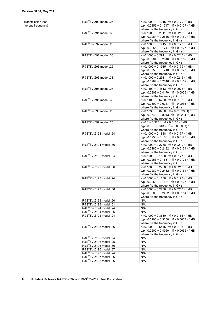Transmission loss (versus frequency)

| R&S <sup>®</sup> ZV-Z91 model .25  | < $(0.1000 + 0.1915 \cdot \sqrt{f} + 0.0179 \cdot f)$ dB       |
|------------------------------------|----------------------------------------------------------------|
|                                    | typ. $(0.0255 + 0.1747 \cdot \sqrt{f} + 0.0127 \cdot f)$ dB    |
|                                    | where f is the frequency in GHz                                |
|                                    |                                                                |
| R&S®ZV-Z91 model .38               | $<$ (0.1000 + 0.2911 $\cdot$ \f + 0.0215 $\cdot$ f) dB         |
|                                    | typ. $(0.0284 + 0.2616 \cdot \sqrt{f} + 0.0159 \cdot f)$ dB    |
|                                    | where f is the frequency in GHz                                |
|                                    |                                                                |
| R&S <sup>®</sup> ZV-Z92 model .25  | < $(0.1000 + 0.1915 \cdot \sqrt{f} + 0.0179 \cdot f)$ dB       |
|                                    | typ. $(0.0255 + 0.1747 \cdot \sqrt{f} + 0.0127 \cdot f)$ dB    |
|                                    | where f is the frequency in GHz                                |
| R&S <sup>®</sup> ZV-Z92 model .38  | $<$ (0.1000 + 0.2911 $\cdot$ \f + 0.0215 $\cdot$ f) dB         |
|                                    |                                                                |
|                                    | typ. $(0.0284 + 0.2616 \cdot \sqrt{f} + 0.0159 \cdot f)$ dB    |
|                                    | where f is the frequency in GHz                                |
| R&S <sup>®</sup> ZV-Z93 model .25  | < $(0.1000 + 0.1915 \cdot \sqrt{f} + 0.0179 \cdot f)$ dB       |
|                                    |                                                                |
|                                    | typ. $(0.0255 + 0.1748 \cdot \sqrt{f} + 0.0127 \cdot f)$ dB    |
|                                    | where f is the frequency in GHz                                |
| R&S <sup>®</sup> ZV-Z93 model .38  | < $(0.1000 + 0.2911 \cdot \sqrt{f} + 0.0215 \cdot f)$ dB       |
|                                    |                                                                |
|                                    | typ. $(0.0284 + 0.2616 \cdot \sqrt{f} + 0.0159 \cdot f)$ dB    |
|                                    | where f is the frequency in GHz                                |
| R&S <sup>®</sup> ZV-Z95 model .25  | < $(0.1109 + 0.4813 \cdot \sqrt{f} + 0.0075 \cdot f)$ dB       |
|                                    | typ. $(0.0309 + 0.4470 \cdot \sqrt{f} - 0.0055 \cdot f)$ dB    |
|                                    |                                                                |
|                                    | where f is the frequency in GHz                                |
| R&S®ZV-Z95 model .38               | < $(0.1109 + 0.6780 \cdot \sqrt{f} + 0.0105 \cdot f)$ dB       |
|                                    | typ. $(0.0309 + 0.6257 \cdot \sqrt{f} - 0.0035 \cdot f)$ dB    |
|                                    |                                                                |
|                                    | where f is the frequency in GHz                                |
| R&S <sup>®</sup> ZV-Z96 model .25  | < $(0.1333 + 0.8230 \cdot \sqrt{f} - 0.01629 \cdot f)$ dB      |
|                                    | typ. $(0.0548 + 0.8043 \cdot \sqrt{f} - 0.0234 \cdot f)$ dB    |
|                                    |                                                                |
|                                    | where f is the frequency in GHz                                |
| R&S <sup>®</sup> ZV-Z97 model .25  | $<$ (0.1 + 0.3781 $\cdot$ \f + 0.0168 $\cdot$ f) dB            |
|                                    | typ. $(0.02 + 0.3438 \cdot \sqrt{f} - 0.0038 \cdot f)$ dB      |
|                                    | where f is the frequency in GHz                                |
|                                    |                                                                |
| R&S <sup>®</sup> ZV-Z191 model .24 | < $(0.1000 + 0.1838 \cdot \sqrt{f} + 0.0177 \cdot f)$ dB       |
|                                    | typ. $(0.0253 + 0.1681 \cdot \sqrt{f} + 0.0125 \cdot f)$ dB    |
|                                    | where f is the frequency in GHz                                |
|                                    |                                                                |
| R&S <sup>®</sup> ZV-Z191 model .36 | $<$ (0.1000 + 0.2758 $\cdot$ \f + 0.0210 $\cdot$ f) dB         |
|                                    | typ. $(0.0280 + 0.2482 \cdot \sqrt{f} + 0.0154 \cdot f)$ dB    |
|                                    | where f is the frequency in GHz                                |
| R&S®ZV-Z192 model .24              |                                                                |
|                                    | < $(0.1000 + 0.1838 \cdot \sqrt{f} + 0.0177 \cdot f)$ dB       |
|                                    | typ. $(0.0253 + 0.1681 \cdot \sqrt{f} + 0.0125 \cdot f)$ dB    |
|                                    | where f is the frequency in GHz                                |
| R&S®ZV-Z192 model .36              | < $(0.1000 + 0.2758 \cdot \sqrt{f} + 0.0210 \cdot f)$ dB       |
|                                    |                                                                |
|                                    | typ. $(0.0280 + 0.2482 \cdot \sqrt{f} + 0.0154 \cdot f)$ dB    |
|                                    | where f is the frequency in GHz                                |
| R&S <sup>®</sup> ZV-Z193 model .24 | $<$ (0.1000 + 0.1838 $\cdot$ \f + 0.0177 $\cdot$ f) dB         |
|                                    |                                                                |
|                                    | typ. $(0.0253 + 0.1681 \cdot \sqrt{f} + 0.0125 \cdot f)$ dB    |
|                                    | where f is the frequency in GHz                                |
| R&S <sup>®</sup> ZV-Z193 model .36 | $<$ (0.1000 + 0.2758 $\cdot$ \f + 0.0210 $\cdot$ f) dB         |
|                                    | typ. $(0.0280 + 0.2482 \cdot \sqrt{f} + 0.0154 \cdot f)$ dB    |
|                                    |                                                                |
|                                    | where f is the frequency in GHz                                |
| R&S®ZV-Z193 model .60              | N/A                                                            |
| R&S <sup>®</sup> ZV-Z193 model .61 | N/A                                                            |
|                                    |                                                                |
| R&S <sup>®</sup> ZV-Z194 model .24 | N/A                                                            |
| R&S <sup>®</sup> ZV-Z194 model .36 | N/A                                                            |
| R&S <sup>®</sup> ZV-Z195 model .24 | $<$ (0.1000 + 0.3630 $\cdot$ $\sqrt{f}$ + 0.0166 $\cdot$ f) dB |
|                                    | typ. $(0.0200 + 0.3300 \cdot \sqrt{f} + 0.0037 \cdot f)$ dB    |
|                                    |                                                                |
|                                    | where f is the frequency in GHz                                |
| R&S®ZV-Z195 model .36              | $<$ (0.1000 + 0.5445 $\cdot$ \f + 0.0193 $\cdot$ f) dB         |
|                                    | typ. $(0.0200 + 0.4950 \cdot \sqrt{f} + 0.0055 \cdot f)$ dB    |
|                                    |                                                                |
|                                    | where f is the frequency in GHz                                |
| R&S <sup>®</sup> ZV-Z196 model .24 | N/A                                                            |
| R&S <sup>®</sup> ZV-Z196 model .25 | N/A                                                            |
|                                    |                                                                |
| R&S <sup>®</sup> ZV-Z196 model .36 | N/A                                                            |
| R&S <sup>®</sup> ZV-Z196 model .37 | N/A                                                            |
| R&S <sup>®</sup> ZV-Z197 model .24 | N/A                                                            |
|                                    |                                                                |
| R&S <sup>®</sup> ZV-Z197 model .36 | N/A                                                            |
| R&S <sup>®</sup> ZV-Z198 model .06 | N/A                                                            |
|                                    |                                                                |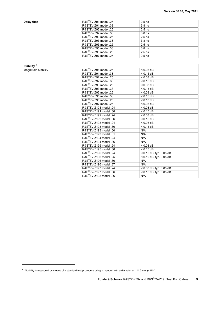| Delay time | R&S <sup>®</sup> ZV-Z91 model .25     | $2.5$ ns          |  |
|------------|---------------------------------------|-------------------|--|
|            | $R\&S^{\otimes}ZV$ -Z91 model .38     | 3.8 <sub>ns</sub> |  |
|            | $R\&S^{\otimes}ZV$ -Z92 model .25     | $2.5$ ns          |  |
|            | R&S <sup>®</sup> ZV-Z92 model .38     | 3.8 <sub>ns</sub> |  |
|            | $R\&S^{\otimes}ZV$ -Z93 model .25     | $2.5$ ns          |  |
|            | $R\&S^{\circledcirc}ZV$ -Z93 model 38 | 3.8 <sub>ns</sub> |  |
|            | R&S <sup>®</sup> ZV-Z95 model .25     | $2.5$ ns          |  |
|            | R&S <sup>®</sup> ZV-Z95 model .38     | 3.8 <sub>ns</sub> |  |
|            | R&S <sup>®</sup> ZV-Z96 model .25     | $2.5$ ns          |  |
|            | R&S <sup>®</sup> ZV-Z97 model .25     | $2.5$ ns          |  |

| Stability $1$       |                                    |                           |  |
|---------------------|------------------------------------|---------------------------|--|
| Magnitude stability | R&S <sup>®</sup> ZV-Z91 model .25  | $< 0.08$ dB               |  |
|                     | R&S <sup>®</sup> ZV-Z91 model .38  | $< 0.15$ dB               |  |
|                     | R&S <sup>®</sup> ZV-Z92 model .25  | $< 0.08$ dB               |  |
|                     | R&S®ZV-Z92 model .38               | $< 0.15$ dB               |  |
|                     | R&S <sup>®</sup> ZV-Z93 model .25  | $< 0.08$ dB               |  |
|                     | R&S <sup>®</sup> ZV-Z93 model .38  | $< 0.15$ dB               |  |
|                     | R&S <sup>®</sup> ZV-Z95 model .25  | $< 0.08$ dB               |  |
|                     | R&S <sup>®</sup> ZV-Z95 model .38  | $< 0.15$ dB               |  |
|                     | R&S <sup>®</sup> ZV-Z96 model .25  | $< 0.10$ dB               |  |
|                     | R&S®ZV-Z97 model .25               | $< 0.08$ dB               |  |
|                     | R&S <sup>®</sup> ZV-Z191 model .24 | $< 0.08$ dB               |  |
|                     | R&S <sup>®</sup> ZV-Z191 model .36 | $< 0.15$ dB               |  |
|                     | R&S <sup>®</sup> ZV-Z192 model .24 | $< 0.08$ dB               |  |
|                     | R&S <sup>®</sup> ZV-Z192 model .36 | $< 0.15$ dB               |  |
|                     | R&S <sup>®</sup> ZV-Z193 model .24 | $< 0.08$ dB               |  |
|                     | R&S <sup>®</sup> ZV-Z193 model .36 | $< 0.15$ dB               |  |
|                     | R&S <sup>®</sup> ZV-Z193 model .60 | N/A                       |  |
|                     | R&S <sup>®</sup> ZV-Z193 model .61 | N/A                       |  |
|                     | R&S®ZV-Z194 model .24              | N/A                       |  |
|                     | R&S <sup>®</sup> ZV-Z194 model .36 | N/A                       |  |
|                     | R&S <sup>®</sup> ZV-Z195 model .24 | $< 0.08$ dB               |  |
|                     | R&S <sup>®</sup> ZV-Z195 model .36 | $< 0.15$ dB               |  |
|                     | R&S <sup>®</sup> ZV-Z196 model .24 | < 0.10 dB, typ. 0.05 dB   |  |
|                     | R&S <sup>®</sup> ZV-Z196 model .25 | < 0.10 dB, typ. 0.05 dB   |  |
|                     | R&S <sup>®</sup> ZV-Z196 model .36 | N/A                       |  |
|                     | R&S <sup>®</sup> ZV-Z196 model .37 | N/A                       |  |
|                     | R&S <sup>®</sup> ZV-Z197 model .24 | < 0.08 dB, typ. 0.05 dB   |  |
|                     | R&S <sup>®</sup> ZV-Z197 model .36 | $< 0.15$ dB, typ. 0.05 dB |  |
|                     | R&S <sup>®</sup> ZV-Z198 model .06 | N/A                       |  |

<u>.</u>

<sup>&</sup>lt;sup>1</sup> Stability is measured by means of a standard test procedure using a mandrel with a diameter of 114.3 mm (4.5 in).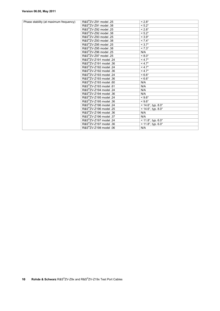### **Version 06.00, May 2011**

| Phase stability (at maximum frequency) | R&S <sup>®</sup> ZV-Z91 model .25  | $< 2.8^\circ$                |
|----------------------------------------|------------------------------------|------------------------------|
|                                        | R&S <sup>®</sup> ZV-Z91 model .38  | $< 5.2^\circ$                |
|                                        | R&S <sup>®</sup> ZV-Z92 model .25  | $< 2.8^\circ$                |
|                                        | R&S <sup>®</sup> ZV-Z92 model .38  | $< 5.2^\circ$                |
|                                        | R&S <sup>®</sup> ZV-Z93 model .25  | $< 3.9^\circ$                |
|                                        | R&S®ZV-Z93 model .38               | $< 7.4^{\circ}$              |
|                                        | R&S <sup>®</sup> ZV-Z95 model .25  | $< 3.7^\circ$                |
|                                        | R&S <sup>®</sup> ZV-Z95 model .38  | $< 7.3^\circ$                |
|                                        | R&S <sup>®</sup> ZV-Z96 model .25  | N/A                          |
|                                        | R&S <sup>®</sup> ZV-Z97 model .25  | $~< 8.0^\circ$               |
|                                        | R&S <sup>®</sup> ZV-Z191 model .24 | $<$ 4.7 $^{\circ}$           |
|                                        | R&S <sup>®</sup> ZV-Z191 model .36 | $< 4.7^\circ$                |
|                                        | R&S <sup>®</sup> ZV-Z192 model .24 | $<$ 4.7 $^{\circ}$           |
|                                        | R&S <sup>®</sup> ZV-Z192 model .36 | $< 4.7^\circ$                |
|                                        | R&S <sup>®</sup> ZV-Z193 model .24 | $< 6.6^\circ$                |
|                                        | R&S®ZV-Z193 model .36              | $< 6.6^\circ$                |
|                                        | R&S <sup>®</sup> ZV-Z193 model .60 | N/A                          |
|                                        | R&S <sup>®</sup> ZV-Z193 model .61 | N/A                          |
|                                        | R&S <sup>®</sup> ZV-Z194 model .24 | N/A                          |
|                                        | R&S <sup>®</sup> ZV-Z194 model .36 | N/A                          |
|                                        | R&S <sup>®</sup> ZV-Z195 model .24 | $< 9.6^\circ$                |
|                                        | R&S <sup>®</sup> ZV-Z195 model .36 | $< 9.6^\circ$                |
|                                        | R&S <sup>®</sup> ZV-Z196 model .24 | $< 14.6^{\circ}$ , typ. 8.0° |
|                                        | R&S®ZV-Z196 model .25              | $< 14.6^{\circ}$ , typ. 8.0° |
|                                        | R&S <sup>®</sup> ZV-Z196 model .36 | N/A                          |
|                                        | R&S <sup>®</sup> ZV-Z196 model .37 | N/A                          |
|                                        | R&S <sup>®</sup> ZV-Z197 model .24 | $<$ 11.8°, typ. 6.0°         |
|                                        | R&S <sup>®</sup> ZV-Z197 model .36 | $< 11.8^{\circ}$ , typ. 6.0° |
|                                        | R&S <sup>®</sup> ZV-Z198 model .06 | N/A                          |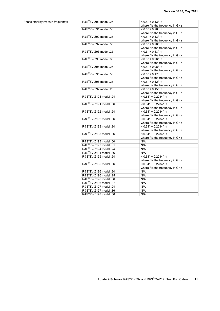| Phase stability (versus frequency) | R&S <sup>®</sup> ZV-Z91 model .25  | $< 0.5^{\circ} + 0.13^{\circ} \cdot f$    |
|------------------------------------|------------------------------------|-------------------------------------------|
|                                    |                                    | where f is the frequency in GHz           |
|                                    | R&S <sup>®</sup> ZV-Z91 model .38  | $< 0.5^{\circ} + 0.26^{\circ} \cdot f$    |
|                                    |                                    | where f is the frequency in GHz           |
|                                    | R&S <sup>®</sup> ZV-Z92 model .25  | $< 0.5^{\circ} + 0.13^{\circ} \cdot f$    |
|                                    |                                    | where f is the frequency in GHz           |
|                                    | R&S <sup>®</sup> ZV-Z92 model .38  | $< 0.5^{\circ} + 0.26^{\circ} \cdot f$    |
|                                    |                                    | where f is the frequency in GHz           |
|                                    | R&S <sup>®</sup> ZV-Z93 model .25  | $0.5^{\circ} + 0.13^{\circ} \cdot f$      |
|                                    |                                    | where f is the frequency in GHz           |
|                                    | R&S <sup>®</sup> ZV-Z93 model .38  | $< 0.5^{\circ} + 0.26^{\circ} \cdot f$    |
|                                    |                                    | where f is the frequency in GHz           |
|                                    | R&S <sup>®</sup> ZV-Z95 model .25  | $< 0.5^\circ + 0.08^\circ \cdot f$        |
|                                    |                                    | where f is the frequency in GHz           |
|                                    | R&S <sup>®</sup> ZV-Z95 model .38  | $< 0.5^{\circ} + 0.17^{\circ} \cdot f$    |
|                                    |                                    | where f is the frequency in GHz           |
|                                    | R&S <sup>®</sup> ZV-Z96 model .25  | $< 0.5^{\circ} + 0.12^{\circ} \cdot f$    |
|                                    |                                    | where f is the frequency in GHz           |
|                                    | R&S <sup>®</sup> ZV-Z97 model .25  | $< 0.5^{\circ} + 0.15^{\circ} \cdot f$    |
|                                    |                                    | where f is the frequency in GHz           |
|                                    | R&S <sup>®</sup> ZV-Z191 model .24 | $< 0.64^{\circ} + 0.2234^{\circ} \cdot f$ |
|                                    |                                    | where f is the frequency in GHz           |
|                                    | R&S <sup>®</sup> ZV-Z191 model .36 | $< 0.64^{\circ} + 0.2234^{\circ} \cdot f$ |
|                                    |                                    | where f is the frequency in GHz           |
|                                    | R&S <sup>®</sup> ZV-Z192 model .24 | $< 0.64^{\circ} + 0.2234^{\circ} \cdot f$ |
|                                    |                                    | where f is the frequency in GHz           |
|                                    | R&S <sup>®</sup> ZV-Z192 model .36 | $< 0.64^{\circ} + 0.2234^{\circ} \cdot f$ |
|                                    |                                    | where f is the frequency in GHz           |
|                                    | R&S <sup>®</sup> ZV-Z193 model .24 | $< 0.64^{\circ} + 0.2234^{\circ} \cdot f$ |
|                                    |                                    | where f is the frequency in GHz           |
|                                    | R&S <sup>®</sup> ZV-Z193 model .36 | $< 0.64^{\circ} + 0.2234^{\circ} \cdot f$ |
|                                    |                                    | where f is the frequency in GHz           |
|                                    | R&S <sup>®</sup> ZV-Z193 model .60 | N/A                                       |
|                                    | R&S®ZV-Z193 model .61              | N/A                                       |
|                                    | R&S <sup>®</sup> ZV-Z194 model .24 | N/A                                       |
|                                    | R&S <sup>®</sup> ZV-Z194 model .36 | N/A                                       |
|                                    | R&S <sup>®</sup> ZV-Z195 model .24 | $< 0.64^{\circ} + 0.2234^{\circ} \cdot f$ |
|                                    |                                    | where f is the frequency in GHz           |
|                                    | R&S <sup>®</sup> ZV-Z195 model .36 | $< 0.64^{\circ} + 0.2234^{\circ} \cdot f$ |
|                                    |                                    | where f is the frequency in GHz           |
|                                    | R&S <sup>®</sup> ZV-Z196 model .24 | N/A                                       |
|                                    | R&S <sup>®</sup> ZV-Z196 model .25 | N/A                                       |
|                                    | R&S <sup>®</sup> ZV-Z196 model .36 | N/A                                       |
|                                    | R&S <sup>®</sup> ZV-Z196 model .37 | N/A                                       |
|                                    | R&S <sup>®</sup> ZV-Z197 model .24 | N/A                                       |
|                                    | R&S <sup>®</sup> ZV-Z197 model .36 | N/A                                       |
|                                    | R&S <sup>®</sup> ZV-Z198 model .06 | N/A                                       |
|                                    |                                    |                                           |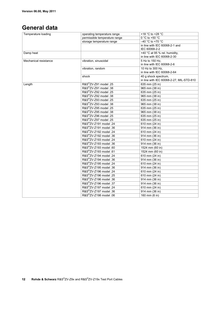### **General data**

| Temperature loading   | operating temperature range        | +18 °C to +28 °C                                             |
|-----------------------|------------------------------------|--------------------------------------------------------------|
|                       | permissible temperature range      | $0 °C$ to +50 $°C$                                           |
|                       | storage temperature range          | $-40$ °C to +70 °C                                           |
|                       |                                    | in line with IEC 60068-2-1 and                               |
|                       |                                    | IEC 60068-2-2                                                |
| Damp heat             |                                    | +40 °C at 95 % rel. humidity,<br>in line with IEC 60068-2-30 |
| Mechanical resistance | vibration, sinusoidal              | 5 Hz to 150 Hz.                                              |
|                       |                                    | in line with IEC 60068-2-6                                   |
|                       | vibration, random                  | 10 Hz to 300 Hz.                                             |
|                       |                                    | in line with IEC 60068-2-64                                  |
|                       | shock                              | 40 g shock spectrum,                                         |
|                       |                                    | in line with IEC 60068-2-27, MIL-STD-810                     |
| Length                | R&S <sup>®</sup> ZV-Z91 model .25  | 635 mm (25 in)                                               |
|                       | R&S <sup>®</sup> ZV-Z91 model .38  | 965 mm (38 in)                                               |
|                       | R&S®ZV-Z92 model .25               | 635 mm (25 in)                                               |
|                       | R&S <sup>®</sup> ZV-Z92 model .38  | 965 mm (38 in)                                               |
|                       | R&S <sup>®</sup> ZV-Z93 model .25  | 635 mm (25 in)                                               |
|                       | R&S®ZV-Z93 model .38               | 965 mm (38 in)                                               |
|                       | R&S®ZV-Z95 model .25               | 635 mm (25 in)                                               |
|                       | R&S®ZV-Z95 model .38               | 965 mm (38 in)                                               |
|                       | R&S <sup>®</sup> ZV-Z96 model .25  | 635 mm (25 in)                                               |
|                       | R&S <sup>®</sup> ZV-Z97 model .25  | 635 mm (25 in)                                               |
|                       | R&S®ZV-Z191 model .24              | 610 mm (24 in)                                               |
|                       | R&S <sup>®</sup> ZV-Z191 model .36 | 914 mm (36 in)                                               |
|                       | R&S®ZV-Z192 model .24              | 610 mm (24 in)                                               |
|                       | R&S®ZV-Z192 model .36              | 914 mm (36 in)                                               |
|                       | R&S <sup>®</sup> ZV-Z193 model .24 | 610 mm (24 in)                                               |
|                       | R&S <sup>®</sup> ZV-Z193 model .36 | 914 mm (36 in)                                               |
|                       | R&S®ZV-Z193 model .60              | 1524 mm (60 in)                                              |
|                       | R&S®ZV-Z193 model .61              | 1524 mm (60 in)                                              |
|                       | R&S®ZV-Z194 model .24              | 610 mm (24 in)                                               |
|                       | R&S®ZV-Z194 model .36              | 914 mm (36 in)                                               |
|                       | R&S®ZV-Z195 model .24              | 610 mm (24 in)                                               |
|                       | R&S <sup>®</sup> ZV-Z195 model .36 | 914 mm (36 in)                                               |
|                       | R&S®ZV-Z196 model .24              | 610 mm (24 in)                                               |
|                       | R&S®ZV-Z196 model .25              | 610 mm (24 in)                                               |
|                       | R&S®ZV-Z196 model .36              | 914 mm (36 in)                                               |
|                       | R&S®ZV-Z196 model .37              | 914 mm (36 in)                                               |
|                       | R&S®ZV-Z197 model .24              | 610 mm (24 in)                                               |
|                       | R&S <sup>®</sup> ZV-Z197 model .36 | 914 mm (36 in)                                               |
|                       | R&S®ZV-Z198 model .06              | 160 mm (6 in)                                                |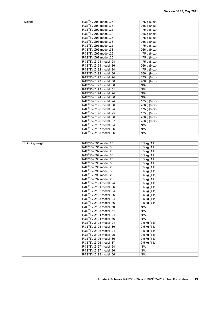| Weight | R&S <sup>®</sup> ZV-Z91 model .25  | 175 g $(6 oz)$ |
|--------|------------------------------------|----------------|
|        | R&S <sup>®</sup> ZV-Z91 model .38  | 266 g (9 oz)   |
|        | R&S <sup>®</sup> ZV-Z92 model .25  | 175 g (6 oz)   |
|        | R&S <sup>®</sup> ZV-Z92 model .38  | 266 g (9 oz)   |
|        | R&S <sup>®</sup> ZV-Z93 model .25  | 175 g (6 oz)   |
|        | R&S <sup>®</sup> ZV-Z93 model .38  | 266 g (9 oz)   |
|        | R&S®ZV-Z95 model .25               | 175 g (6 oz)   |
|        | R&S <sup>®</sup> ZV-Z95 model .38  | 266 g (9 oz)   |
|        | R&S <sup>®</sup> ZV-Z96 model .25  | 175 g (6 oz)   |
|        | R&S®ZV-Z97 model .25               | 175 g (6 oz)   |
|        | R&S <sup>®</sup> ZV-Z191 model .24 | 175 g (6 oz)   |
|        | R&S <sup>®</sup> ZV-Z191 model .36 | 266 g (9 oz)   |
|        | R&S <sup>®</sup> ZV-Z192 model .24 | 175 g (6 oz)   |
|        | R&S <sup>®</sup> ZV-Z192 model .36 | 266 g (9 oz)   |
|        | R&S <sup>®</sup> ZV-Z193 model .24 | 175 g (6 oz)   |
|        | R&S <sup>®</sup> ZV-Z193 model .36 | 266 g (9 oz)   |
|        | R&S <sup>®</sup> ZV-Z193 model .60 | N/A            |
|        | R&S <sup>®</sup> ZV-Z193 model .61 | N/A            |
|        | R&S <sup>®</sup> ZV-Z194 model .24 | N/A            |
|        | R&S®ZV-Z194 model .36              | N/A            |
|        | R&S <sup>®</sup> ZV-Z195 model .24 | 175 g (6 oz)   |
|        | R&S <sup>®</sup> ZV-Z195 model .36 | 266 g (9 oz)   |
|        | R&S <sup>®</sup> ZV-Z196 model .24 | 175 g (6 oz)   |
|        | R&S <sup>®</sup> ZV-Z196 model .25 | 175 g (6 oz)   |
|        | R&S <sup>®</sup> ZV-Z196 model .36 | 266 g (9 oz)   |
|        | R&S®ZV-Z196 model .37              | 266 g (9 oz)   |
|        | R&S <sup>®</sup> ZV-Z197 model .24 | N/A            |
|        | R&S <sup>®</sup> ZV-Z197 model .36 | N/A            |
|        | R&S®ZV-Z198 model .06              | N/A            |

|                 | R&S <sup>®</sup> ZV-Z91 model .25  |                           |
|-----------------|------------------------------------|---------------------------|
| Shipping weight |                                    | $0.5$ kg $(1 \text{ lb})$ |
|                 | R&S <sup>®</sup> ZV-Z91 model .38  | $0.5$ kg $(1$ lb)         |
|                 | R&S <sup>®</sup> ZV-Z92 model .25  | $0.5$ kg $(1$ lb)         |
|                 | R&S®ZV-Z92 model .38               | 0.5 kg (1 lb)             |
|                 | R&S <sup>®</sup> ZV-Z93 model .25  | 0.5 kg (1 lb)             |
|                 | R&S <sup>®</sup> ZV-Z93 model .38  | 0.5 kg (1 lb)             |
|                 | R&S <sup>®</sup> ZV-Z95 model .25  | $0.5$ kg $(1$ lb)         |
|                 | R&S <sup>®</sup> ZV-Z95 model .38  | 0.5 kg (1 lb)             |
|                 | R&S <sup>®</sup> ZV-Z96 model .25  | 0.5 kg (1 lb)             |
|                 | R&S <sup>®</sup> ZV-Z97 model .25  | 0.5 kg (1 lb)             |
|                 | R&S <sup>®</sup> ZV-Z191 model .24 | 0.5 kg (1 lb)             |
|                 | R&S <sup>®</sup> ZV-Z191 model .36 | 0.5 kg (1 lb)             |
|                 | R&S <sup>®</sup> ZV-Z192 model .24 | $0.5$ kg $(1$ lb)         |
|                 | R&S <sup>®</sup> ZV-Z192 model .36 | $0.5$ kg $(1$ lb)         |
|                 | R&S <sup>®</sup> ZV-Z193 model .24 | 0.5 kg (1 lb)             |
|                 | R&S <sup>®</sup> ZV-Z193 model .36 | 0.5 kg (1 lb)             |
|                 | R&S <sup>®</sup> ZV-Z193 model .60 | N/A                       |
|                 | R&S®ZV-Z193 model .61              | N/A                       |
|                 | R&S <sup>®</sup> ZV-Z194 model .24 | N/A                       |
|                 | R&S <sup>®</sup> ZV-Z194 model .36 | N/A                       |
|                 | R&S <sup>®</sup> ZV-Z195 model .24 | 0.5 kg (1 lb)             |
|                 | R&S <sup>®</sup> ZV-Z195 model .36 | 0.5 kg (1 lb)             |
|                 | R&S <sup>®</sup> ZV-Z196 model .24 | 0.5 kg (1 lb)             |
|                 | R&S <sup>®</sup> ZV-Z196 model .25 | 0.5 kg (1 lb)             |
|                 | R&S <sup>®</sup> ZV-Z196 model .36 | 0.5 kg (1 lb)             |
|                 | R&S <sup>®</sup> ZV-Z196 model .37 | $0.5$ kg $(1$ lb)         |
|                 | R&S <sup>®</sup> ZV-Z197 model .24 | N/A                       |
|                 | R&S <sup>®</sup> ZV-Z197 model .36 | N/A                       |
|                 | R&S <sup>®</sup> ZV-Z198 model .06 | N/A                       |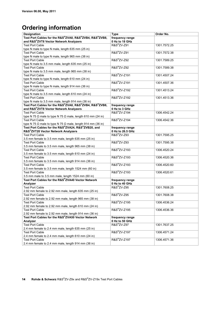# **Ordering information**

| <b>Designation</b>                                                        | <b>Type</b>                        | Order No.    |
|---------------------------------------------------------------------------|------------------------------------|--------------|
| Test Port Cables for the R&S®ZVA8, R&S®ZVB4, R&S®ZVB8,                    | frequency range                    |              |
| and R&S®ZVT8 Vector Network Analyzers                                     | 0 Hz to 18 GHz                     |              |
| <b>Test Port Cable</b>                                                    | R&S <sup>®</sup> ZV-Z91            | 1301.7572.25 |
| type N male to type N male, length 635 mm (25 in)                         |                                    |              |
| <b>Test Port Cable</b>                                                    | R&S <sup>®</sup> ZV-Z91            | 1301.7572.38 |
| type N male to type N male, length 965 mm (38 in)                         |                                    |              |
| <b>Test Port Cable</b>                                                    | <b>R&amp;S</b> <sup>®</sup> ZV-Z92 | 1301.7589.25 |
| type N male to 3.5 mm male, length 635 mm (25 in)                         |                                    |              |
| <b>Test Port Cable</b>                                                    | R&S <sup>®</sup> ZV-Z92            | 1301.7589.38 |
| type N male to 3.5 mm male, length 965 mm (38 in)                         |                                    |              |
| <b>Test Port Cable</b>                                                    | R&S <sup>®</sup> ZV-Z191           | 1301.4507.24 |
| type N male to type N male, length 610 mm (24 in)                         |                                    |              |
| <b>Test Port Cable</b>                                                    | R&S <sup>®</sup> ZV-Z191           | 1301.4507.36 |
| type N male to type N male, length 914 mm (36 in)                         |                                    |              |
| <b>Test Port Cable</b>                                                    | R&S <sup>®</sup> ZV-Z192           | 1301.4513.24 |
| type N male to 3.5 mm male, length 610 mm (24 in)                         |                                    |              |
| <b>Test Port Cable</b>                                                    | R&S <sup>®</sup> ZV-Z192           | 1301.4513.36 |
| type N male to 3.5 mm male, length 914 mm (36 in)                         |                                    |              |
| Test Port Cables for the R&S®ZVA8, R&S®ZVB4, R&S®ZVB8,                    |                                    |              |
| and R&S®ZVT8 Vector Network Analyzers                                     | frequency range<br>0 Hz to 3 GHz   |              |
|                                                                           | R&S <sup>®</sup> ZV-Z194           |              |
| <b>Test Port Cable</b>                                                    |                                    | 1306.4542.24 |
| type N 75 $\Omega$ male to type N 75 $\Omega$ male, length 610 mm (24 in) | R&S <sup>®</sup> ZV-Z194           |              |
| <b>Test Port Cable</b>                                                    |                                    | 1306.4542.36 |
| type N 75 $\Omega$ male to type N 75 $\Omega$ male, length 914 mm (36 in) |                                    |              |
| Test Port Cables for the R&S®ZVA24, R&S®ZVB20, and                        | frequency range                    |              |
| R&S®ZVT20 Vector Network Analyzers                                        | 0 Hz to 26.5 GHz                   |              |
| <b>Test Port Cable</b>                                                    | <b>R&amp;S</b> <sup>®</sup> ZV-Z93 | 1301.7595.25 |
| 3.5 mm female to 3.5 mm male, length 635 mm (25 in)                       | <b>R&amp;S</b> <sup>®</sup> ZV-Z93 |              |
| <b>Test Port Cable</b>                                                    |                                    | 1301.7595.38 |
| 3.5 mm female to 3.5 mm male, length 965 mm (38 in)                       |                                    |              |
| <b>Test Port Cable</b>                                                    | R&S <sup>®</sup> ZV-Z193           | 1306.4520.24 |
| 3.5 mm female to 3.5 mm male, length 610 mm (24 in)                       |                                    |              |
| <b>Test Port Cable</b>                                                    | R&S <sup>®</sup> ZV-Z193           | 1306.4520.36 |
| 3.5 mm female to 3.5 mm male, length 914 mm (36 in)                       |                                    |              |
| <b>Test Port Cable</b>                                                    | R&S <sup>®</sup> ZV-Z193           | 1306.4520.60 |
| 3.5 mm female to 3.5 mm male, length 1524 mm (60 in)                      |                                    |              |
| <b>Test Port Cable</b>                                                    | R&S <sup>®</sup> ZV-Z193           | 1306.4520.61 |
| 3.5 mm male to 3.5 mm male, length 1524 mm (60 in)                        |                                    |              |
| Test Port Cables for the R&S®ZVA40 Vector Network                         | frequency range                    |              |
| Analyzer                                                                  | 0 Hz to 40 GHz                     |              |
| <b>Test Port Cable</b>                                                    | <b>R&amp;S</b> <sup>®</sup> ZV-Z95 | 1301.7608.25 |
| 2.92 mm female to 2.92 mm male, length 635 mm (25 in)                     |                                    |              |
| <b>Test Port Cable</b>                                                    | <b>R&amp;S</b> <sup>®</sup> ZV-Z95 | 1301.7608.38 |
| 2.92 mm female to 2.92 mm male, length 965 mm (38 in)                     |                                    |              |
| <b>Test Port Cable</b>                                                    | R&S <sup>®</sup> ZV-Z195           | 1306.4536.24 |
| 2.92 mm female to 2.92 mm male, length 610 mm (24 in)                     |                                    |              |
| <b>Test Port Cable</b>                                                    | R&S <sup>®</sup> ZV-Z195           | 1306.4536.36 |
| 2.92 mm female to 2.92 mm male, length 914 mm (36 in)                     |                                    |              |
| Test Port Cables for the R&S®ZVA50 Vector Network                         | frequency range                    |              |
| Analyzer                                                                  | 0 Hz to 50 GHz                     |              |
| <b>Test Port Cable</b>                                                    | R&S <sup>®</sup> ZV-Z97            | 1301.7637.25 |
| 2.4 mm female to 2.4 mm male, length 635 mm (25 in)                       |                                    |              |
| <b>Test Port Cable</b>                                                    | R&S <sup>®</sup> ZV-Z197           | 1306.4571.24 |
| 2.4 mm female to 2.4 mm male, length 610 mm (24 in)                       |                                    |              |
| <b>Test Port Cable</b>                                                    | R&S <sup>®</sup> ZV-Z197           | 1306.4571.36 |
| 2.4 mm female to 2.4 mm male, length 914 mm (36 in)                       |                                    |              |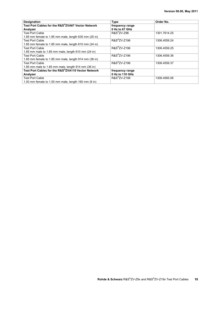| <b>Designation</b>                                        | <b>Type</b>              | Order No.    |
|-----------------------------------------------------------|--------------------------|--------------|
| Test Port Cables for the R&S®ZVA67 Vector Network         | frequency range          |              |
| Analyzer                                                  | 0 Hz to 67 GHz           |              |
| <b>Test Port Cable</b>                                    | $R\&S^{\otimes}ZV-Z96$   | 1301.7614.25 |
| 1.85 mm female to 1.85 mm male, length 635 mm (25 in)     |                          |              |
| <b>Test Port Cable</b>                                    | R&S <sup>®</sup> ZV-Z196 | 1306.4559.24 |
| 1.85 mm female to 1.85 mm male, length $610$ mm $(24$ in) |                          |              |
| <b>Test Port Cable</b>                                    | R&S <sup>®</sup> ZV-Z196 | 1306.4559.25 |
| 1.85 mm male to 1.85 mm male, length 610 mm (24 in)       |                          |              |
| <b>Test Port Cable</b>                                    | R&S <sup>®</sup> ZV-Z196 | 1306.4559.36 |
| 1.85 mm female to 1.85 mm male, length 914 mm (36 in)     |                          |              |
| <b>Test Port Cable</b>                                    | R&S <sup>®</sup> ZV-Z196 | 1306.4559.37 |
| 1.85 mm male to 1.85 mm male, length 914 mm (36 in)       |                          |              |
| Test Port Cables for the R&S®ZVA110 Vector Network        | frequency range          |              |
| Analyzer                                                  | 0 Hz to 110 GHz          |              |
| <b>Test Port Cable</b>                                    | R&S <sup>®</sup> ZV-Z198 | 1306.4565.06 |
| 1.00 mm female to 1.00 mm male, length 160 mm (6 in)      |                          |              |